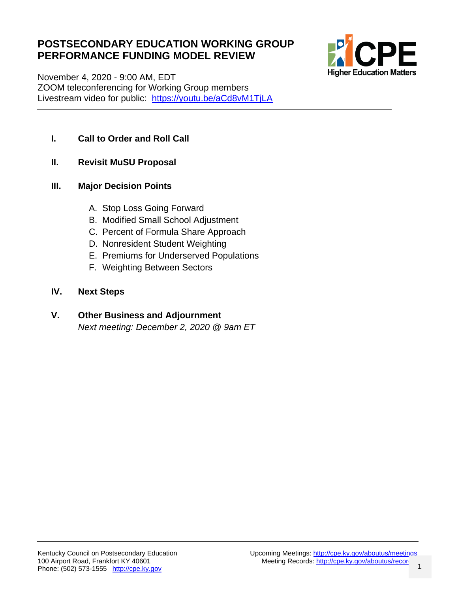#### **POSTSECONDARY EDUCATION WORKING GROUP PERFORMANCE FUNDING MODEL REVIEW**



November 4, 2020 - 9:00 AM, EDT ZOOM teleconferencing for Working Group members Livestream video for public: <https://youtu.be/aCd8vM1TjLA>

- **I. Call to Order and Roll Call**
- **II. Revisit MuSU Proposal**

#### **III. Major Decision Points**

- A. Stop Loss Going Forward
- B. Modified Small School Adjustment
- C. Percent of Formula Share Approach
- D. Nonresident Student Weighting
- E. Premiums for Underserved Populations
- F. Weighting Between Sectors

#### **IV. Next Steps**

#### **V. Other Business and Adjournment** *Next meeting: December 2, 2020 @ 9am ET*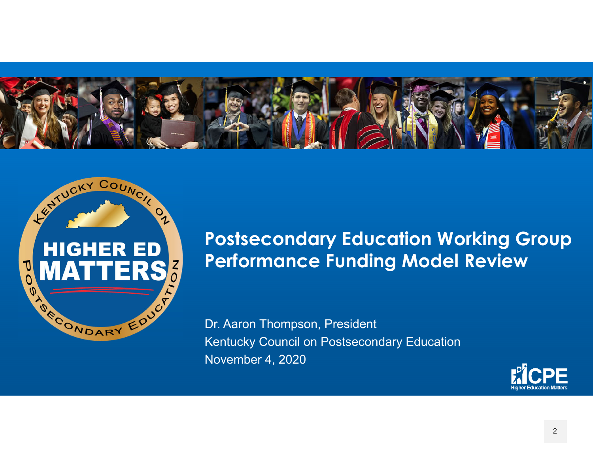



### **Postsecondary Education Working Group Performance Funding Model Review**

Dr. Aaron Thompson, President Kentucky Council on Postsecondary Education November 4, 2020

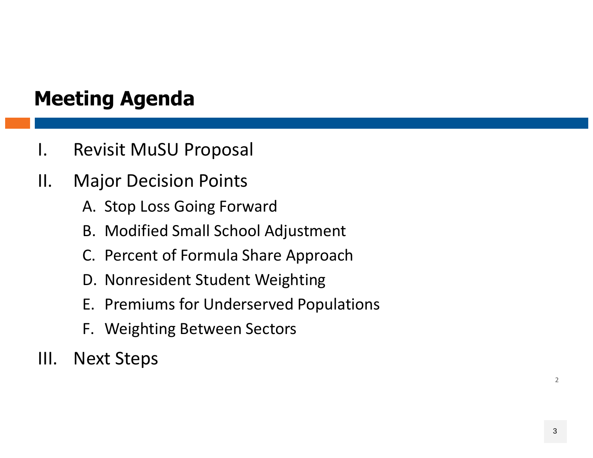## **Meeting Agenda**

- I. Revisit MuSU Proposal
- II. Major Decision Points
	- A. Stop Loss Going Forward
	- B. Modified Small School Adjustment
	- C. Percent of Formula Share Approach
	- D. Nonresident Student Weighting
	- E. Premiums for Underserved Populations
	- F. Weighting Between Sectors
- III. Next Steps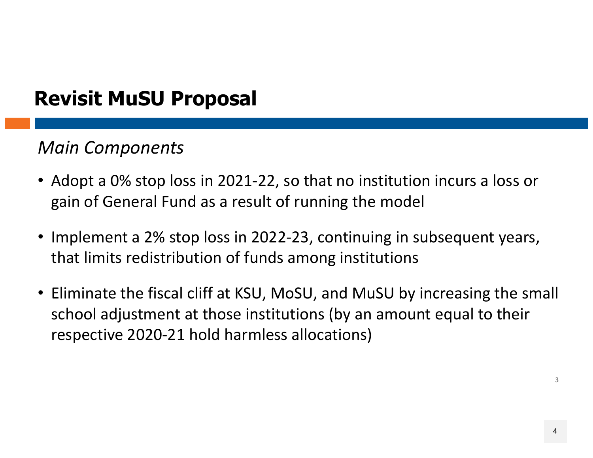## **Revisit MuSU Proposal**

#### *Main Components*

- Adopt <sup>a</sup> 0% stop loss in 2021‐22, so that no institution incurs <sup>a</sup> loss or gain of General Fund as <sup>a</sup> result of running the model
- Implement <sup>a</sup> 2% stop loss in 2022‐23, continuing in subsequent years, that limits redistribution of funds among institutions
- Eliminate the fiscal cliff at KSU, MoSU, and MuSU by increasing the small school adjustment at those institutions (by an amount equal to their respective 2020‐21 hold harmless allocations)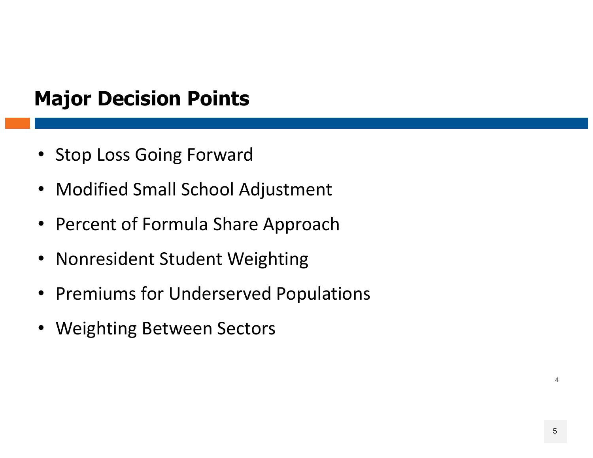- Stop Loss Going Forward
- Modified Small School Adjustment
- Percent of Formula Share Approach
- Nonresident Student Weighting
- Premiums for Underserved Populations
- Weighting Between Sectors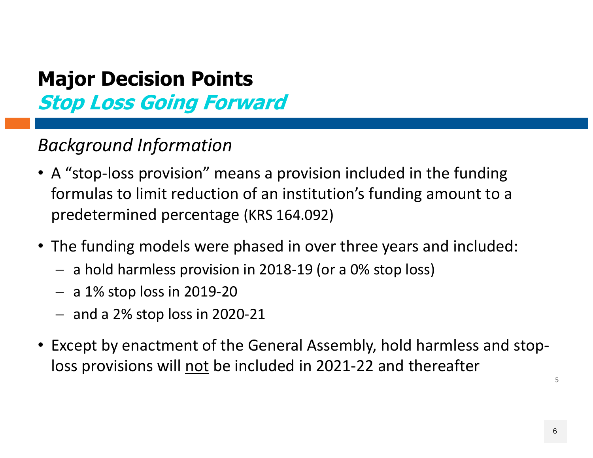#### *Background Information*

- A "stop‐loss provision" means <sup>a</sup> provision included in the funding formulas to limit reduction of an institution's funding amount to <sup>a</sup> predetermined percentage (KRS 164.092)
- The funding models were phased in over three years and included:
	- <sup>a</sup> hold harmless provision in 2018‐19 (or <sup>a</sup> 0% stop loss)
	- a 1% stop loss in 2019‐20
	- and <sup>a</sup> 2% stop loss in 2020‐21
- Except by enactment of the General Assembly, hold harmless and stop‐ loss provisions will <u>not</u> be included in 2021-22 and thereafter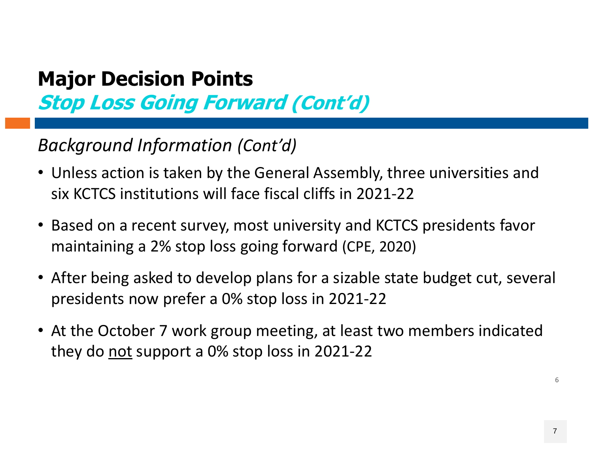#### *Background Information (Cont'd)*

- Unless action is taken by the General Assembly, three universities and six KCTCS institutions will face fiscal cliffs in 2021‐22
- Based on <sup>a</sup> recent survey, most university and KCTCS presidents favor maintaining <sup>a</sup> 2% stop loss going forward (CPE, 2020)
- After being asked to develop plans for <sup>a</sup> sizable state budget cut, several presidents now prefer <sup>a</sup> 0% stop loss in 2021‐22
- At the October 7 work group meeting, at least two members indicated they do not support <sup>a</sup> 0% stop loss in 2021‐22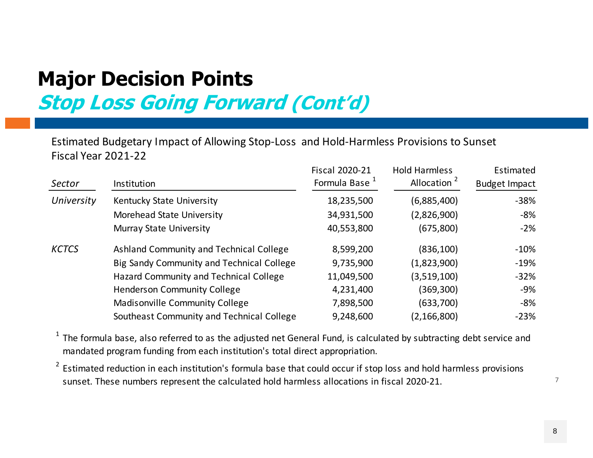Estimated Budgetary Impact of Allowing Stop‐Loss and Hold‐Harmless Provisions to Sunset Fiscal Year 2021‐22

| Sector       | Institution                               | <b>Fiscal 2020-21</b><br>Formula Base <sup>1</sup> | Hold Harmless<br>Allocation <sup>2</sup> | Estimated<br><b>Budget Impact</b> |
|--------------|-------------------------------------------|----------------------------------------------------|------------------------------------------|-----------------------------------|
| University   | Kentucky State University                 | 18,235,500                                         | (6,885,400)                              | $-38%$                            |
|              | Morehead State University                 | 34,931,500                                         | (2,826,900)                              | -8%                               |
|              | <b>Murray State University</b>            | 40,553,800                                         | (675, 800)                               | $-2%$                             |
| <b>KCTCS</b> | Ashland Community and Technical College   | 8,599,200                                          | (836, 100)                               | $-10%$                            |
|              | Big Sandy Community and Technical College | 9,735,900                                          | (1,823,900)                              | $-19%$                            |
|              | Hazard Community and Technical College    | 11,049,500                                         | (3,519,100)                              | $-32%$                            |
|              | <b>Henderson Community College</b>        | 4,231,400                                          | (369,300)                                | -9%                               |
|              | <b>Madisonville Community College</b>     | 7,898,500                                          | (633, 700)                               | -8%                               |
|              | Southeast Community and Technical College | 9,248,600                                          | (2, 166, 800)                            | $-23%$                            |

 $^1$  The formula base, also referred to as the adjusted net General Fund, is calculated by subtracting debt service and mandated program funding from each institution's total direct appropriation.

<sup>2</sup> Estimated reduction in each institution's formula base that could occur if stop loss and hold harmless provisions sunset. These numbers represent the calculated hold harmless allocations in fiscal 2020‐21.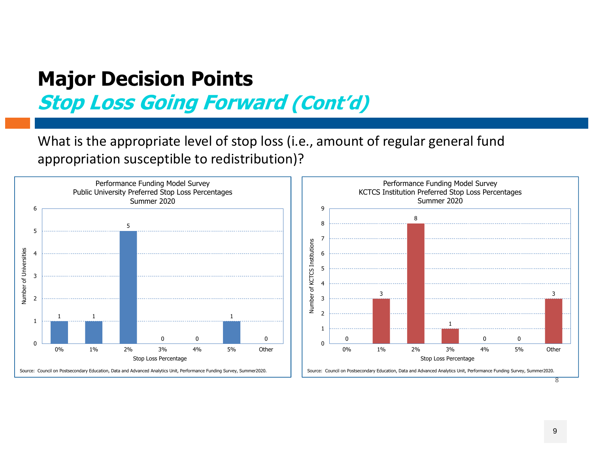What is the appropriate level of stop loss (i.e., amount of regular general fund appropriation susceptible to redistribution)?



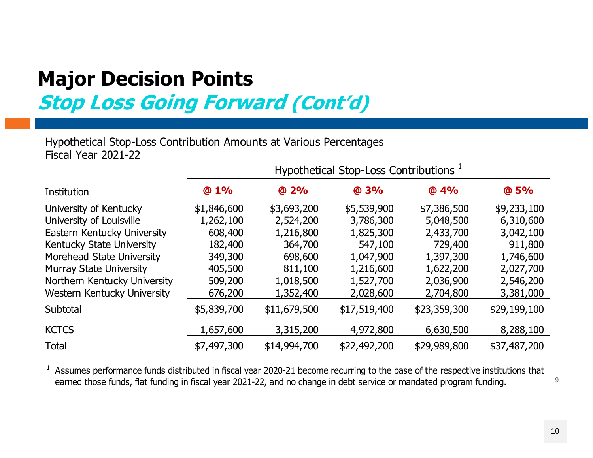Hypothetical Sto p-Loss Contribution Amounts at Various Percenta ges Fiscal Year 2021-22

|                                |             |              | Hypothetical Stop-Loss Contributions <sup>1</sup> |              |              |
|--------------------------------|-------------|--------------|---------------------------------------------------|--------------|--------------|
| Institution                    | @1%         | @ 2%         | @3%                                               | @4%          | @ 5%         |
| University of Kentucky         | \$1,846,600 | \$3,693,200  | \$5,539,900                                       | \$7,386,500  | \$9,233,100  |
| University of Louisville       | 1,262,100   | 2,524,200    | 3,786,300                                         | 5,048,500    | 6,310,600    |
| Eastern Kentucky University    | 608,400     | 1,216,800    | 1,825,300                                         | 2,433,700    | 3,042,100    |
| Kentucky State University      | 182,400     | 364,700      | 547,100                                           | 729,400      | 911,800      |
| Morehead State University      | 349,300     | 698,600      | 1,047,900                                         | 1,397,300    | 1,746,600    |
| <b>Murray State University</b> | 405,500     | 811,100      | 1,216,600                                         | 1,622,200    | 2,027,700    |
| Northern Kentucky University   | 509,200     | 1,018,500    | 1,527,700                                         | 2,036,900    | 2,546,200    |
| Western Kentucky University    | 676,200     | 1,352,400    | 2,028,600                                         | 2,704,800    | 3,381,000    |
| Subtotal                       | \$5,839,700 | \$11,679,500 | \$17,519,400                                      | \$23,359,300 | \$29,199,100 |
| <b>KCTCS</b>                   | 1,657,600   | 3,315,200    | 4,972,800                                         | 6,630,500    | 8,288,100    |
| <b>Total</b>                   | \$7,497,300 | \$14,994,700 | \$22,492,200                                      | \$29,989,800 | \$37,487,200 |

<sup>1</sup> Assumes performance funds distributed in fiscal year 2020-21 become recurring to the base of the respective institutions that earned those funds, flat funding in fiscal year 2021-22, and no change in debt service or mandated program funding.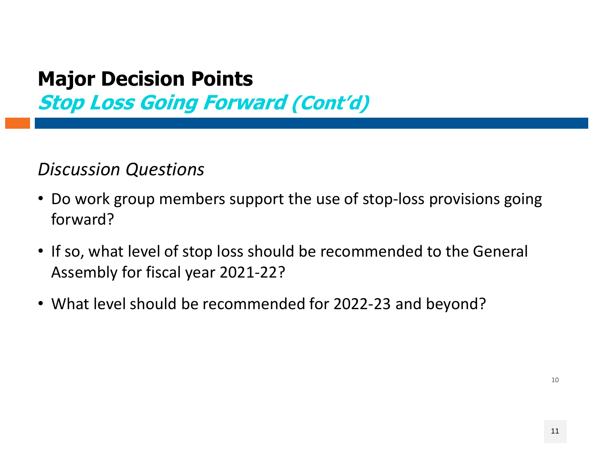#### *Discussion Questions*

- Do work group members support the use of stop‐loss provisions going forward?
- If so, what level of stop loss should be recommended to the General Assembly for fiscal year 2021‐22?
- What level should be recommended for 2022‐23 and beyond?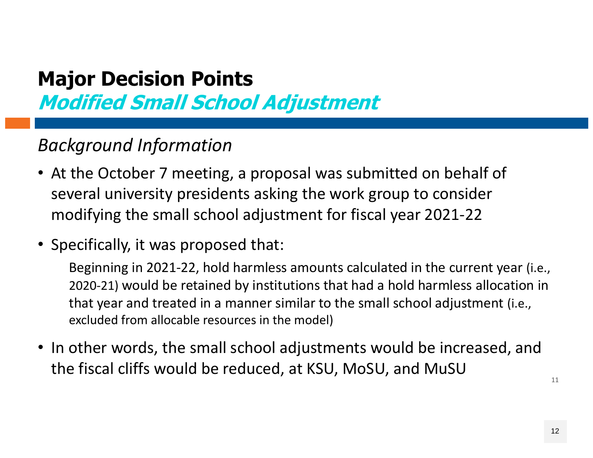**Modified Small School Adjustment**

#### *Background Information*

- At the October 7 meeting, a proposal was submitted on behalf of several university presidents asking the work group to consider modifying the small school adjustment for fiscal year 2021 ‐22
- Specifically, it was proposed that:

Beginning in 2021 ‐22, hold harmless amounts calculated in the current year (i.e., <sup>2020</sup>‐21) would be retained by institutions that had a hold harmless allocation in that year and treated in a manner similar to the small school adjustment (i.e., excluded from allocable resources in the model)

• In other words, the small school adjustments would be increased, and the fiscal cliffs would be reduced, at KSU, MoSU, and MuSU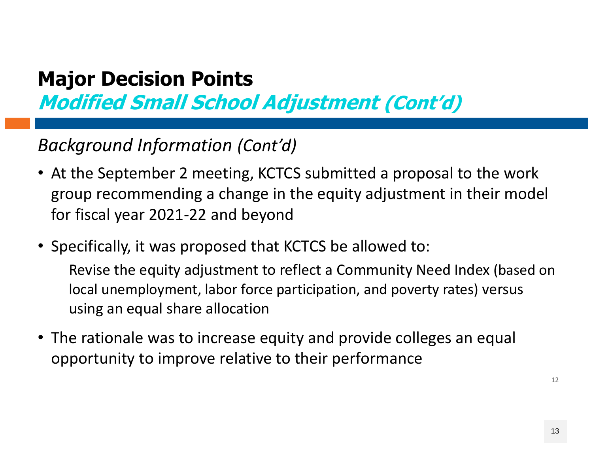**Modified Small School Adjustment (Cont'd)**

#### *Background Information (Cont'd)*

- At the September 2 meeting, KCTCS submitted a proposal to the work group recommending a change in the equity adjustment in their model for fiscal year 2021 ‐22 and beyond
- Specifically, it was proposed that KCTCS be allowed to:

Revise the equity adjustment to reflect a Community Need Index (based on local unemployment, labor force participation, and poverty rates) versus using an equal share allocation

• The rationale was to increase equity and provide colleges an equal opportunity to improve relative to their performance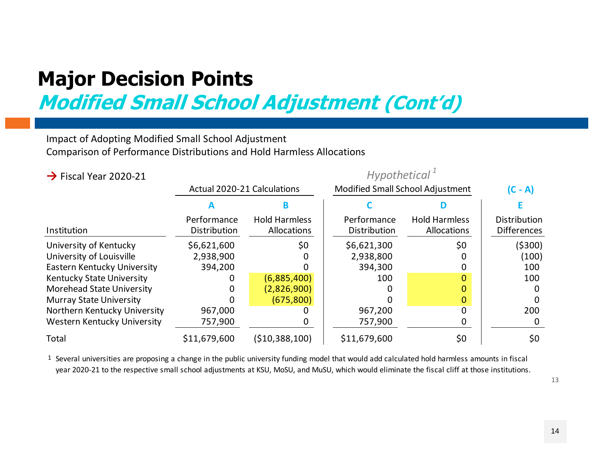**Modified Small School Adjustment (Cont'd)**

#### Impact of Adopting Modified Small School Adjustment Comparison of Performance Distributions and Hold Harmless Allocations

#### **→** Fiscal Year 2020-21

#### *Hypothetical <sup>1</sup>*

|                                  | <b>Actual 2020-21 Calculations</b> |                                     | <b>Modified Small School Adjustment</b> | $(C - A)$                           |                                           |
|----------------------------------|------------------------------------|-------------------------------------|-----------------------------------------|-------------------------------------|-------------------------------------------|
|                                  |                                    |                                     |                                         |                                     |                                           |
| Institution                      | Performance<br>Distribution        | <b>Hold Harmless</b><br>Allocations | Performance<br>Distribution             | <b>Hold Harmless</b><br>Allocations | <b>Distribution</b><br><b>Differences</b> |
| University of Kentucky           | \$6,621,600                        | \$0                                 | \$6,621,300                             | \$0                                 | (\$300)                                   |
| University of Louisville         | 2,938,900                          |                                     | 2,938,800                               |                                     | (100)                                     |
| Eastern Kentucky University      | 394,200                            |                                     | 394,300                                 |                                     | 100                                       |
| Kentucky State University        |                                    | (6,885,400)                         | 100                                     |                                     | 100                                       |
| <b>Morehead State University</b> |                                    | (2,826,900)                         |                                         |                                     |                                           |
| <b>Murray State University</b>   |                                    | (675, 800)                          |                                         |                                     |                                           |
| Northern Kentucky University     | 967,000                            |                                     | 967,200                                 | O                                   | 200                                       |
| Western Kentucky University      | 757,900                            |                                     | 757,900                                 |                                     |                                           |
| Total                            | \$11,679,600                       | (\$10,388,100)                      | \$11,679,600                            | \$0                                 | \$0                                       |

1 Several universities are proposing <sup>a</sup> change in the public university funding model that would add calculated hold harmless amounts in fiscal year 2020-21 to the respective small school adjustments at KSU, MoSU, and MuSU, which would eliminate the fiscal cliff at those institutions.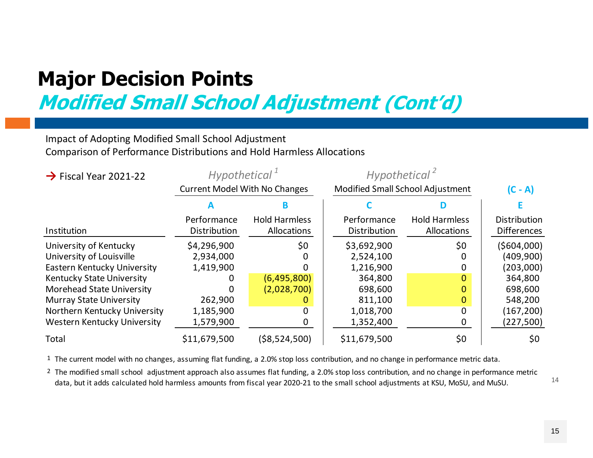**Modified Small School Adjustment (Cont'd)**

#### Impact of Adopting Modified Small School Adjustment Comparison of Performance Distributions and Hold Harmless Allocations

| $\rightarrow$ Fiscal Year 2021-22 | Hypothetical <sup>T</sup>            |                                            | Hypothetical <sup>2</sup>        |                                     |                                    |
|-----------------------------------|--------------------------------------|--------------------------------------------|----------------------------------|-------------------------------------|------------------------------------|
|                                   | <b>Current Model With No Changes</b> |                                            | Modified Small School Adjustment | $(C - A)$                           |                                    |
|                                   |                                      |                                            |                                  |                                     |                                    |
| Institution                       | Performance<br>Distribution          | <b>Hold Harmless</b><br><b>Allocations</b> | Performance<br>Distribution      | <b>Hold Harmless</b><br>Allocations | Distribution<br><b>Differences</b> |
| University of Kentucky            | \$4,296,900                          | \$0                                        | \$3,692,900                      | \$0                                 | (5604,000)                         |
| University of Louisville          | 2,934,000                            |                                            | 2,524,100                        | 0                                   | (409,900)                          |
| Eastern Kentucky University       | 1,419,900                            |                                            | 1,216,900                        | 0                                   | (203,000)                          |
| <b>Kentucky State University</b>  |                                      | (6,495,800)                                | 364,800                          | $\Omega$                            | 364,800                            |
| <b>Morehead State University</b>  |                                      | (2,028,700)                                | 698,600                          | 0                                   | 698,600                            |
| <b>Murray State University</b>    | 262,900                              |                                            | 811,100                          | 0                                   | 548,200                            |
| Northern Kentucky University      | 1,185,900                            | O                                          | 1,018,700                        | 0                                   | (167, 200)                         |
| Western Kentucky University       | 1,579,900                            |                                            | 1,352,400                        | 0                                   | (227, 500)                         |
| Total                             | \$11,679,500                         | ( \$8,524,500)                             | \$11,679,500                     | \$0                                 | \$0                                |

1 The current model with no changes, assuming flat funding, <sup>a</sup> 2.0% stop loss contribution, and no change in performance metric data.

2 The modified small school adjustment approach also assumes flat funding, <sup>a</sup> 2.0% stop loss contribution, and no change in performance metric data, but it adds calculated hold harmless amounts from fiscal year 2020‐21 to the small school adjustments at KSU, MoSU, and MuSU.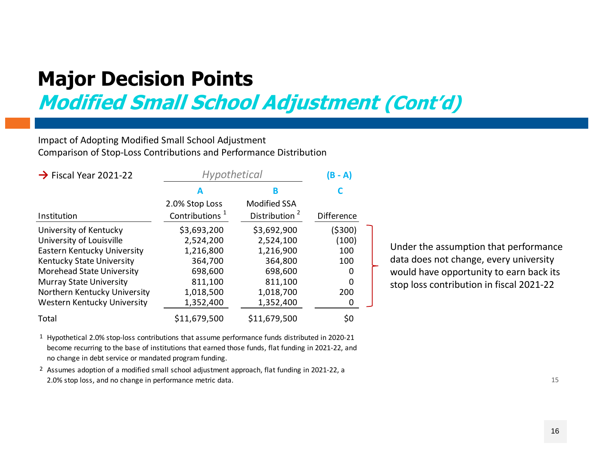**Modified Small School Adjustment (Cont'd)**

#### Impact of Adopting Modified Small School Adjustment Comparison of Stop‐Loss Contributions and Performance Distribution

| $\rightarrow$ Fiscal Year 2021-22 | <b>Hypothetical</b>        | (B - A)                   |                   |  |
|-----------------------------------|----------------------------|---------------------------|-------------------|--|
|                                   |                            | в                         |                   |  |
|                                   | 2.0% Stop Loss             | <b>Modified SSA</b>       |                   |  |
| Institution                       | Contributions <sup>1</sup> | Distribution <sup>2</sup> | <b>Difference</b> |  |
| University of Kentucky            | \$3,693,200                | \$3,692,900               | ( \$300)          |  |
| University of Louisville          | 2,524,200                  | 2,524,100                 | (100)             |  |
| Eastern Kentucky University       | 1,216,800                  | 1,216,900                 | 100               |  |
| Kentucky State University         | 364,700                    | 364,800                   | 100               |  |
| <b>Morehead State University</b>  | 698,600                    | 698,600                   | 0                 |  |
| <b>Murray State University</b>    | 811,100                    | 811,100                   | 0                 |  |
| Northern Kentucky University      | 1,018,500                  | 1,018,700                 | 200               |  |
| Western Kentucky University       | 1,352,400                  | 1,352,400                 | 0                 |  |
| Total                             | \$11,679,500               | \$11,679,500              | \$0               |  |

Under the assumption that performance data does not change, every university would have opportunity to earn back its stop loss contribution in fiscal 2021‐22

1 Hypothetical 2.0% stop‐loss contributions that assume performance funds distributed in 2020‐21 become recurring to the base of institutions that earned those funds, flat funding in 2021‐22, and no change in debt service or mandated program funding.

2 Assumes adoption of <sup>a</sup> modified small school adjustment approach, flat funding in 2021‐22, <sup>a</sup> 2.0% stop loss, and no change in performance metric data.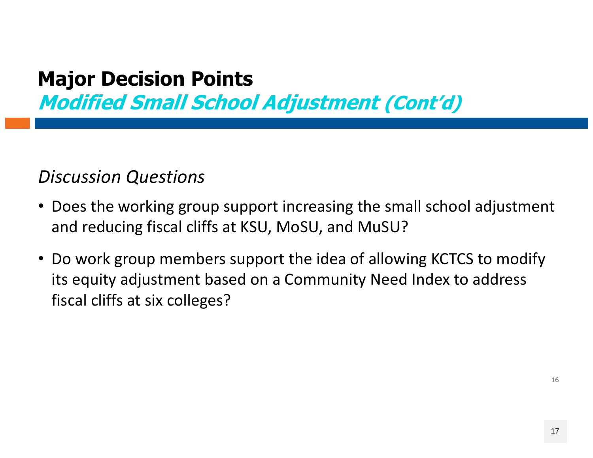**Modified Small School Adjustment (Cont'd)**

#### *Discussion Questions*

- Does the working group support increasing the small school adjustment and reducing fiscal cliffs at KSU, MoSU, and MuSU?
- Do work group members support the idea of allowing KCTCS to modify its equity adjustment based on <sup>a</sup> Community Need Index to address fiscal cliffs at six colleges?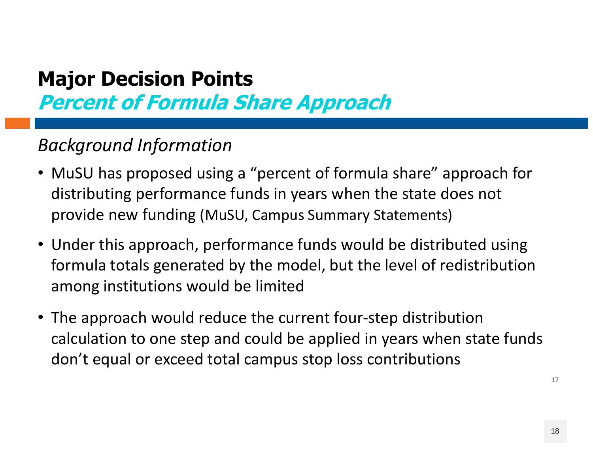**Percent of Formula Share Approach**

#### *Background Information*

- MuSU has proposed using a "percent of formula share" approach for distributing performance funds in years when the state does not provide new funding (MuSU, Campus Summary Statements)
- Under this approach, performance funds would be distributed using formula totals generated by the model, but the level of redistribution among institutions would be limited
- The approach would reduce the current four-step distribution calculation to one step and could be applied in years when state funds don't equal or exceed total campus stop loss contributions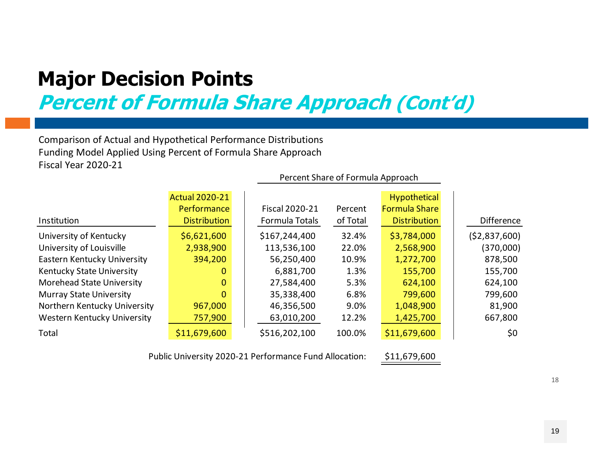**Percent of Formula Share Approach (Cont'd)**

Comparison of Actual and Hypothetical Performance Distributions Funding Model Applied Using Percent of Formula Share Approach Fiscal Year 2020‐21

|                                  |                       |                       | Percent Share of Formula Approach |                      |                   |
|----------------------------------|-----------------------|-----------------------|-----------------------------------|----------------------|-------------------|
|                                  | <b>Actual 2020-21</b> |                       |                                   | <b>Hypothetical</b>  |                   |
|                                  | Performance           | <b>Fiscal 2020-21</b> | Percent                           | <b>Formula Share</b> |                   |
| Institution                      | <b>Distribution</b>   | Formula Totals        | of Total                          | <b>Distribution</b>  | <b>Difference</b> |
| University of Kentucky           | \$6,621,600           | \$167,244,400         | 32.4%                             | \$3,784,000          | (52,837,600)      |
| University of Louisville         | 2,938,900             | 113,536,100           | 22.0%                             | 2,568,900            | (370,000)         |
| Eastern Kentucky University      | 394,200               | 56,250,400            | 10.9%                             | 1,272,700            | 878,500           |
| Kentucky State University        | 0                     | 6,881,700             | 1.3%                              | 155,700              | 155,700           |
| <b>Morehead State University</b> | $\mathbf{0}$          | 27,584,400            | 5.3%                              | 624,100              | 624,100           |
| <b>Murray State University</b>   | 0                     | 35,338,400            | 6.8%                              | 799,600              | 799,600           |
| Northern Kentucky University     | 967,000               | 46,356,500            | 9.0%                              | 1,048,900            | 81,900            |
| Western Kentucky University      | 757,900               | 63,010,200            | 12.2%                             | 1,425,700            | 667,800           |
| Total                            | \$11,679,600          | \$516,202,100         | 100.0%                            | \$11,679,600         | \$0               |

Public University 2020‐<sup>21</sup> Performance Fund Allocation: \$11,679,600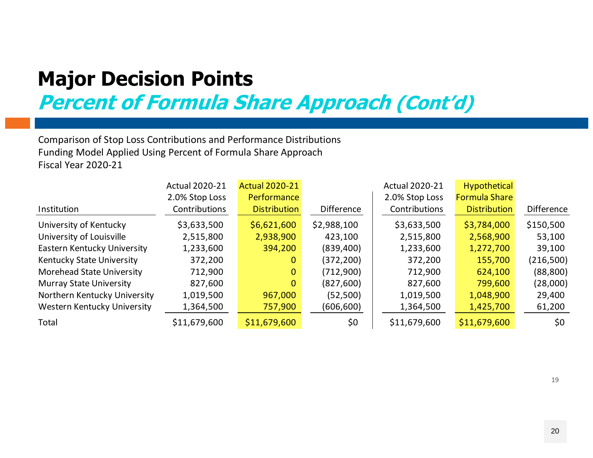**Percent of Formula Share Approach (Cont'd)**

Comparison of Stop Loss Contributions and Performance Distributions Funding Model Applied Using Percent of Formula Share Approach Fiscal Year 2020‐21

|                                  | <b>Actual 2020-21</b> | <b>Actual 2020-21</b> |                   | <b>Actual 2020-21</b> | Hypothetical         |            |
|----------------------------------|-----------------------|-----------------------|-------------------|-----------------------|----------------------|------------|
|                                  | 2.0% Stop Loss        | <b>Performance</b>    |                   | 2.0% Stop Loss        | <b>Formula Share</b> |            |
| Institution                      | Contributions         | <b>Distribution</b>   | <b>Difference</b> | Contributions         | <b>Distribution</b>  | Difference |
| University of Kentucky           | \$3,633,500           | \$6,621,600           | \$2,988,100       | \$3,633,500           | \$3,784,000          | \$150,500  |
| University of Louisville         | 2,515,800             | 2,938,900             | 423,100           | 2,515,800             | 2,568,900            | 53,100     |
| Eastern Kentucky University      | 1,233,600             | 394,200               | (839, 400)        | 1,233,600             | 1,272,700            | 39,100     |
| Kentucky State University        | 372,200               | 0                     | (372, 200)        | 372,200               | 155,700              | (216,500)  |
| <b>Morehead State University</b> | 712,900               | 0                     | (712,900)         | 712,900               | 624,100              | (88, 800)  |
| <b>Murray State University</b>   | 827,600               | 0                     | (827, 600)        | 827,600               | 799,600              | (28,000)   |
| Northern Kentucky University     | 1,019,500             | 967,000               | (52, 500)         | 1,019,500             | 1,048,900            | 29,400     |
| Western Kentucky University      | 1,364,500             | 757,900               | (606,600)         | 1,364,500             | 1,425,700            | 61,200     |
| Total                            | \$11,679,600          | \$11,679,600          | \$0               | \$11,679,600          | \$11,679,600         | \$0        |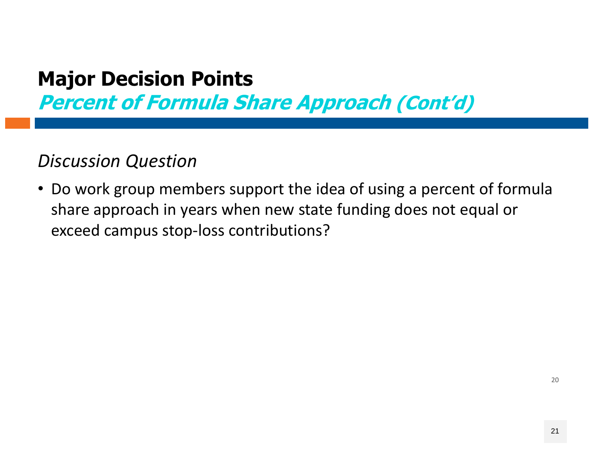**Percent of Formula Share Approach (Cont'd)**

#### *Discussion Question*

• Do work group members support the idea of using <sup>a</sup> percent of formula share approach in years when new state funding does not equal or exceed campus stop‐loss contributions?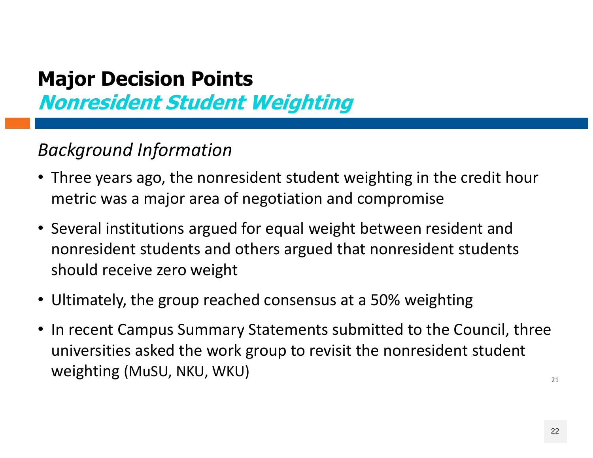**Nonresident Student Weighting**

#### *Background Information*

- Three years ago, the nonresident student weighting in the credit hour metric was a major area of negotiation and compromise
- Several institutions argued for equal weight between resident and nonresident students and others argued that nonresident students should receive zero weight
- Ultimately, the group reached consensus at <sup>a</sup> 50% weighting
- 21• In recent Campus Summary Statements submitted to the Council, three universities asked the work group to revisit the nonresident student weighting (MuSU, NKU, WKU)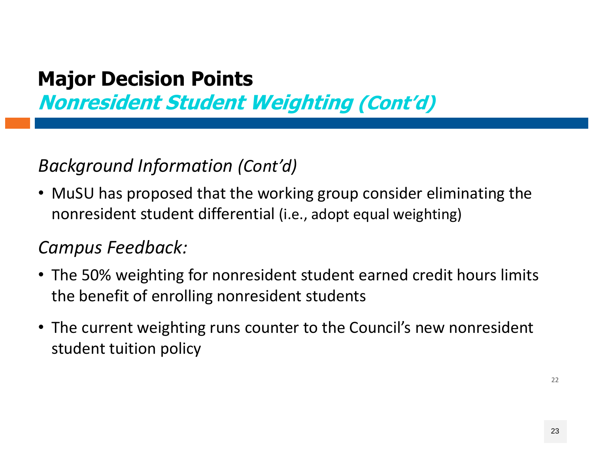**Nonresident Student Weighting (Cont'd)**

### *Background Information (Cont'd)*

• MuSU has proposed that the working group consider eliminating the nonresident student differential (i.e., adopt equal weighting)

#### *Campus Feedback:*

- The 50% weighting for nonresident student earned credit hours limits the benefit of enrolling nonresident students
- The current weighting runs counter to the Council's new nonresident student tuition policy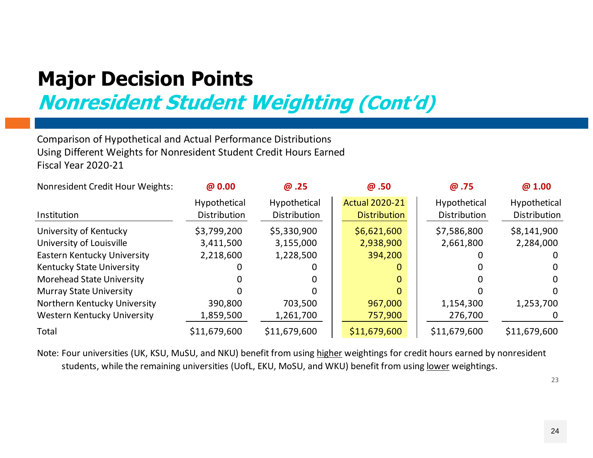**Nonresident Student Weighting (Cont'd)**

Comparison of Hypothetical and Actual Performance Distributions Using Different Weights for Nonresident Student Credit Hours Earned Fiscal Year 2020‐21

| Nonresident Credit Hour Weights: | @ 0.00                       | @.25                         | @.50                                         | @.75                         | @1.00                        |
|----------------------------------|------------------------------|------------------------------|----------------------------------------------|------------------------------|------------------------------|
| Institution                      | Hypothetical<br>Distribution | Hypothetical<br>Distribution | <b>Actual 2020-21</b><br><b>Distribution</b> | Hypothetical<br>Distribution | Hypothetical<br>Distribution |
| University of Kentucky           | \$3,799,200                  | \$5,330,900                  | \$6,621,600                                  | \$7,586,800                  | \$8,141,900                  |
| University of Louisville         | 3,411,500                    | 3,155,000                    | 2,938,900                                    | 2,661,800                    | 2,284,000                    |
| Eastern Kentucky University      | 2,218,600                    | 1,228,500                    | 394,200                                      |                              |                              |
| Kentucky State University        |                              |                              | 0                                            |                              | $\Omega$                     |
| <b>Morehead State University</b> |                              |                              | 0                                            |                              | $\Omega$                     |
| <b>Murray State University</b>   |                              |                              | 0                                            |                              | $\Omega$                     |
| Northern Kentucky University     | 390,800                      | 703,500                      | 967,000                                      | 1,154,300                    | 1,253,700                    |
| Western Kentucky University      | 1,859,500                    | 1,261,700                    | 757,900                                      | 276,700                      |                              |
| Total                            | \$11,679,600                 | \$11,679,600                 | \$11,679,600                                 | \$11,679,600                 | \$11,679,600                 |

Note: Four universities (UK, KSU, MuSU, and NKU) benefit from using <u>higher</u> weightings for credit hours earned by nonresident students, while the remaining universities (UofL, EKU, MoSU, and WKU) benefit from using lower weightings.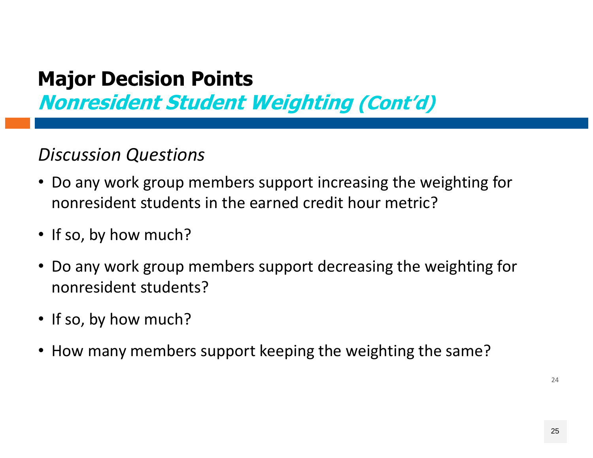**Nonresident Student Weighting (Cont'd)**

#### *Discussion Questions*

- Do any work group members support increasing the weighting for nonresident students in the earned credit hour metric?
- If so, by how much?
- Do any work group members support decreasing the weighting for nonresident students?
- If so, by how much?
- How many members support keeping the weighting the same?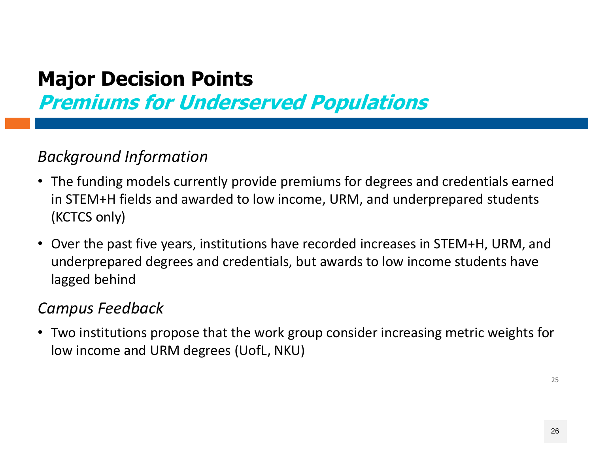**Premiums for Underserved Populations**

#### *Background Information*

- The funding models currently provide premiums for degrees and credentials earned in STEM+H fields and awarded to low income, URM, and underprepared students (KCTCS only)
- Over the past five years, institutions have recorded increases in STEM+H, URM, and underprepared degrees and credentials, but awards to low income students have lagged behind

#### *Campus Feedback*

• Two institutions propose that the work group consider increasing metric weights for low income and URM degrees (UofL, NKU)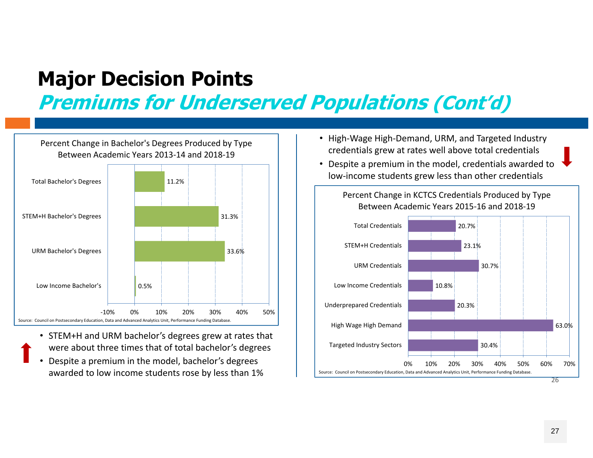**Premiums for Underserved Populations (Cont'd)**

0.5%33.6%31.3%11.2%‐10% 0% 10% 20% 30% 40% 50%Low Income Bachelor's URM Bachelor's Degrees STEM+H Bachelor's Degrees Total Bachelor's Degrees Percent Change in Bachelor's Degrees Produced by Type Between Academic Years 2013‐14 and 2018‐19 Source: Council on Postsecondary Education, Data and Advanced Analytics Unit, Performance Funding Database.

- STEM+H and URM bachelor's degrees grew at rates that were about three times that of total bachelor's degrees
- • Despite <sup>a</sup> premium in the model, bachelor's degrees awarded to low income students rose by less than 1%
- High‐Wage High‐Demand, URM, and Targeted Industry credentials grew at rates well above total credentials
- Despite <sup>a</sup> premium in the model, credentials awarded to low‐income students grew less than other credentials

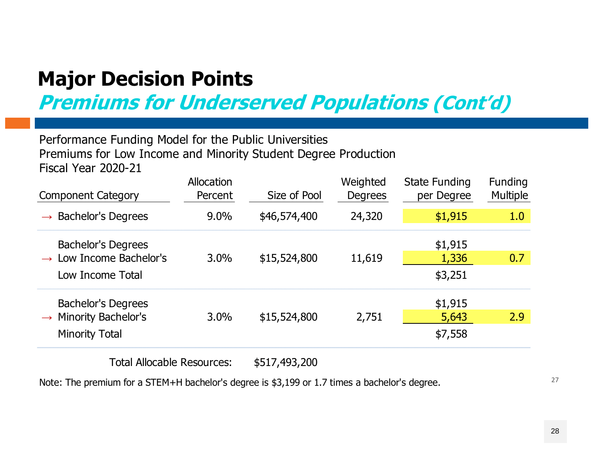**Premiums for Underserved Populations (Cont'd)**

#### Performance Fundin g Model for the Public Universities Premiums for Low Income and Minority Student De gree Production Fiscal Year 2020-21

| <b>Component Category</b>                                                               | <b>Allocation</b><br>Percent | Size of Pool | Weighted<br><b>Degrees</b> | <b>State Funding</b><br>per Degree | <b>Funding</b><br><b>Multiple</b> |
|-----------------------------------------------------------------------------------------|------------------------------|--------------|----------------------------|------------------------------------|-----------------------------------|
| <b>Bachelor's Degrees</b><br>$\rightarrow$                                              | $9.0\%$                      | \$46,574,400 | 24,320                     | \$1,915                            | 1.0                               |
| <b>Bachelor's Degrees</b><br>$\rightarrow$ Low Income Bachelor's<br>Low Income Total    | 3.0%                         | \$15,524,800 | 11,619                     | \$1,915<br>1,336<br>\$3,251        | 0.7                               |
| <b>Bachelor's Degrees</b><br>$\rightarrow$ Minority Bachelor's<br><b>Minority Total</b> | 3.0%                         | \$15,524,800 | 2,751                      | \$1,915<br>5,643<br>\$7,558        | 2.9                               |

Total Allocable Resources: \$517,493,200

Note: The premium for a STEM+H bachelor's degree is \$3,199 or 1.7 times a bachelor's degree.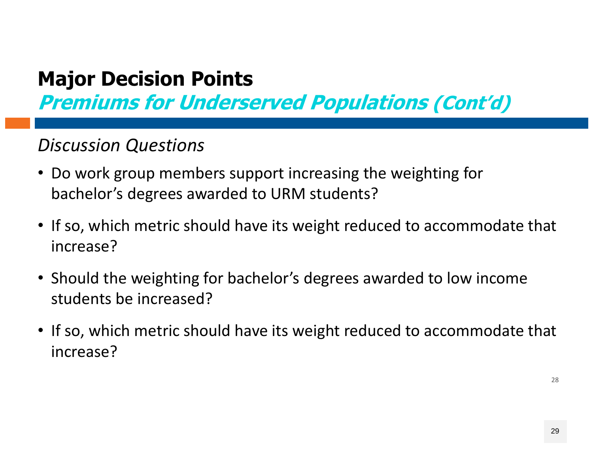**Premiums for Underserved Populations (Cont'd)**

#### *Discussion Questions*

- Do work group members support increasing the weighting for bachelor's degrees awarded to URM students?
- If so, which metric should have its weight reduced to accommodate that increase?
- Should the weighting for bachelor's degrees awarded to low income students be increased?
- If so, which metric should have its weight reduced to accommodate that increase?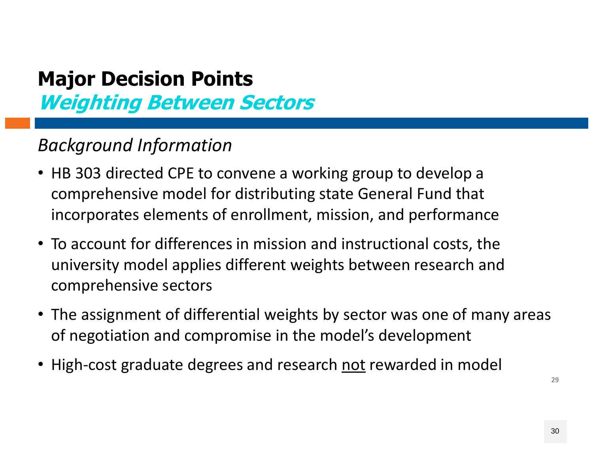## **Major Decision Points Weighting Between Sectors**

#### *Background Information*

- HB 303 directed CPE to convene a working group to develop a comprehensive model for distributing state General Fund that incorporates elements of enrollment, mission, and performance
- To account for differences in mission and instructional costs, the university model applies different weights between research and comprehensive sectors
- The assignment of differential weights by sector was one of many areas of negotiation and compromise in the model's development
- High-cost graduate degrees and research <u>not</u> rewarded in model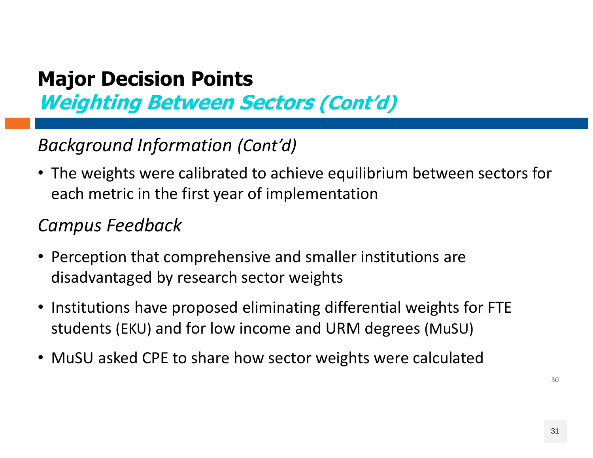### **Major Decision Points Weighting Between Sectors (Cont'd)**

#### *Background Information (Cont'd)*

• The weights were calibrated to achieve equilibrium between sectors for each metric in the first year of implementation

#### *Campus Feedback*

- Perception that comprehensive and smaller institutions are disadvantaged by research sector weights
- Institutions have proposed eliminating differential weights for FTE students (EKU) and for low income and URM degrees (MuSU)
- MuSU asked CPE to share how sector weights were calculated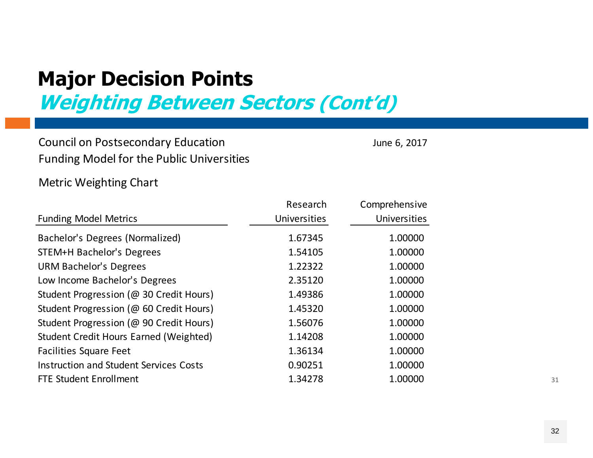**Weighting Between Sectors (Cont'd)**

Council on Postsecondary Education and American control of the Summer 6, 2017 Funding Model for the Public Universities

Metric Weighting Chart

|                                               | Research     | Comprehensive |
|-----------------------------------------------|--------------|---------------|
| <b>Funding Model Metrics</b>                  | Universities | Universities  |
| Bachelor's Degrees (Normalized)               | 1.67345      | 1.00000       |
| STEM+H Bachelor's Degrees                     | 1.54105      | 1.00000       |
| <b>URM Bachelor's Degrees</b>                 | 1.22322      | 1.00000       |
| Low Income Bachelor's Degrees                 | 2.35120      | 1.00000       |
| Student Progression (@ 30 Credit Hours)       | 1.49386      | 1.00000       |
| Student Progression (@ 60 Credit Hours)       | 1.45320      | 1.00000       |
| Student Progression (@ 90 Credit Hours)       | 1.56076      | 1.00000       |
| Student Credit Hours Earned (Weighted)        | 1.14208      | 1.00000       |
| <b>Facilities Square Feet</b>                 | 1.36134      | 1.00000       |
| <b>Instruction and Student Services Costs</b> | 0.90251      | 1.00000       |
| <b>FTE Student Enrollment</b>                 | 1.34278      | 1.00000       |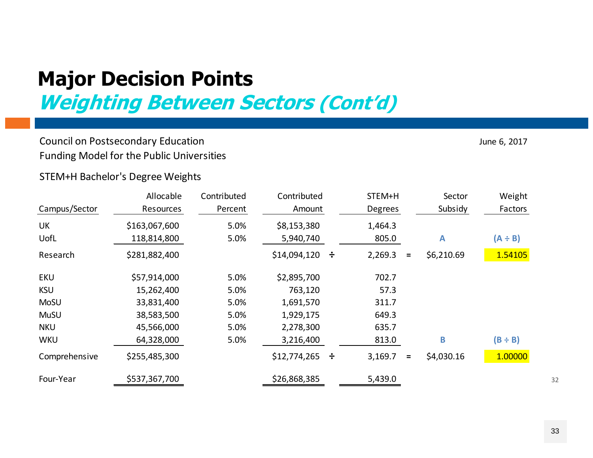**Weighting Between Sectors (Cont'd)**

#### Council on Postsecondary Education June 6, 2017 and September 2017 and September 2017 Funding Model for the Public Universities

STEM+H Bachelor's Degree Weights

|               | Allocable        | Contributed | Contributed     |        | STEM+H         |          | Sector     | Weight       |
|---------------|------------------|-------------|-----------------|--------|----------------|----------|------------|--------------|
| Campus/Sector | <b>Resources</b> | Percent     | Amount          |        | <b>Degrees</b> |          | Subsidy    | Factors      |
| UK            | \$163,067,600    | 5.0%        | \$8,153,380     |        | 1,464.3        |          |            |              |
| UofL          | 118,814,800      | 5.0%        | 5,940,740       |        | 805.0          |          | A          | $(A \div B)$ |
| Research      | \$281,882,400    |             | \$14,094,120    | $\div$ | 2,269.3        | $\equiv$ | \$6,210.69 | 1.54105      |
| <b>EKU</b>    | \$57,914,000     | 5.0%        | \$2,895,700     |        | 702.7          |          |            |              |
| <b>KSU</b>    | 15,262,400       | 5.0%        | 763,120         |        | 57.3           |          |            |              |
| <b>MoSU</b>   | 33,831,400       | 5.0%        | 1,691,570       |        | 311.7          |          |            |              |
| <b>MuSU</b>   | 38,583,500       | 5.0%        | 1,929,175       |        | 649.3          |          |            |              |
| <b>NKU</b>    | 45,566,000       | 5.0%        | 2,278,300       |        | 635.7          |          |            |              |
| <b>WKU</b>    | 64,328,000       | 5.0%        | 3,216,400       |        | 813.0          |          | B          | $(B \div B)$ |
| Comprehensive | \$255,485,300    |             | $$12,774,265$ ÷ |        | 3,169.7        | $\equiv$ | \$4,030.16 | 1.00000      |
| Four-Year     | \$537,367,700    |             | \$26,868,385    |        | 5,439.0        |          |            |              |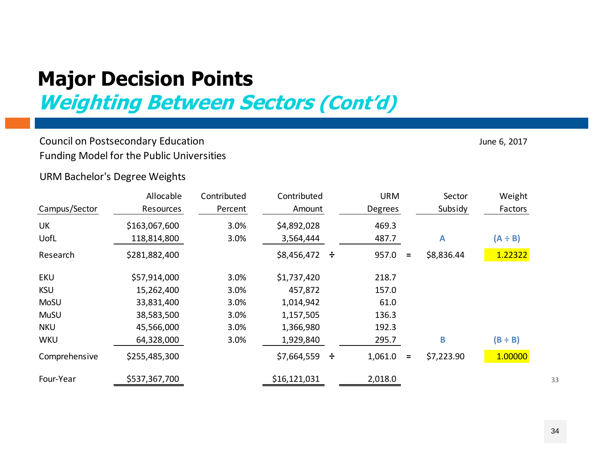**Weighting Between Sectors (Cont'd)**

#### Council on Postsecondary Education June 6, 2017 and September 2017 and September 2017 Funding Model for the Public Universities

URM Bachelor's Degree Weights

|               | Allocable        | Contributed | Contributed       |   | <b>URM</b>     |          | Sector       | Weight       |
|---------------|------------------|-------------|-------------------|---|----------------|----------|--------------|--------------|
| Campus/Sector | <b>Resources</b> | Percent     | Amount            |   | <b>Degrees</b> |          | Subsidy      | Factors      |
| UK            | \$163,067,600    | 3.0%        | \$4,892,028       |   | 469.3          |          |              |              |
| UofL          | 118,814,800      | 3.0%        | 3,564,444         |   | 487.7          |          | $\mathbf{A}$ | $(A \div B)$ |
| Research      | \$281,882,400    |             | $$8,456,472 \div$ |   | 957.0          | $=$      | \$8,836.44   | 1.22322      |
| <b>EKU</b>    | \$57,914,000     | 3.0%        | \$1,737,420       |   | 218.7          |          |              |              |
| <b>KSU</b>    | 15,262,400       | 3.0%        | 457,872           |   | 157.0          |          |              |              |
| <b>MoSU</b>   | 33,831,400       | 3.0%        | 1,014,942         |   | 61.0           |          |              |              |
| <b>MuSU</b>   | 38,583,500       | 3.0%        | 1,157,505         |   | 136.3          |          |              |              |
| <b>NKU</b>    | 45,566,000       | 3.0%        | 1,366,980         |   | 192.3          |          |              |              |
| <b>WKU</b>    | 64,328,000       | 3.0%        | 1,929,840         |   | 295.7          |          | B            | $(B \div B)$ |
| Comprehensive | \$255,485,300    |             | \$7,664,559       | ÷ | 1,061.0        | $\equiv$ | \$7,223.90   | 1.00000      |
| Four-Year     | \$537,367,700    |             | \$16,121,031      |   | 2,018.0        |          |              |              |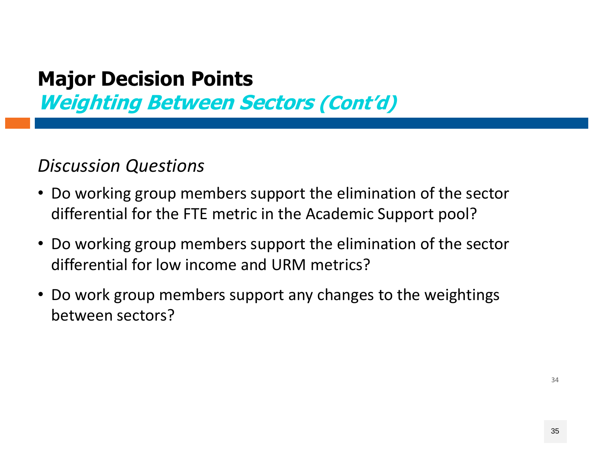**Weighting Between Sectors (Cont'd)**

#### *Discussion Questions*

- Do working group members support the elimination of the sector differential for the FTE metric in the Academic Support pool?
- Do working group members support the elimination of the sector differential for low income and URM metrics?
- Do work group members support any changes to the weightings between sectors?